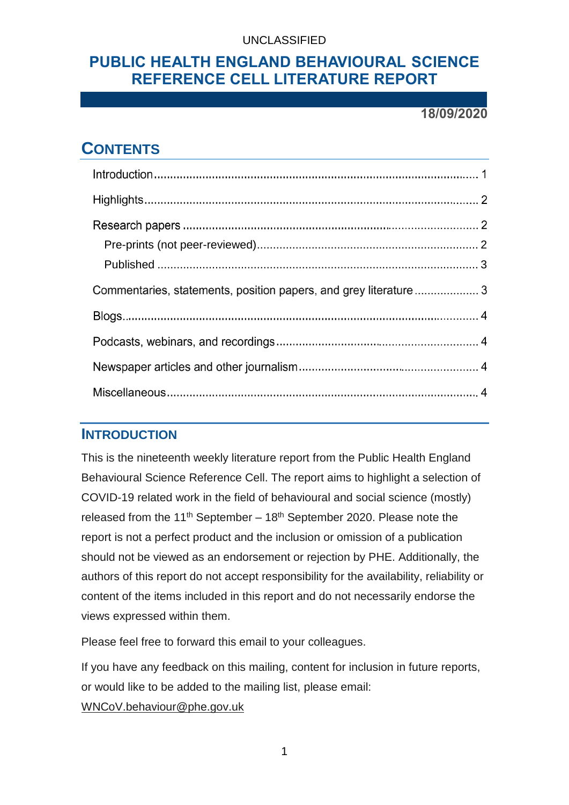## **PUBLIC HEALTH ENGLAND BEHAVIOURAL SCIENCE REFERENCE CELL LITERATURE REPORT**

#### **18/09/2020**

# **CONTENTS**

| Commentaries, statements, position papers, and grey literature 3 |  |
|------------------------------------------------------------------|--|
|                                                                  |  |
|                                                                  |  |
|                                                                  |  |
|                                                                  |  |

### **INTRODUCTION**

This is the nineteenth weekly literature report from the Public Health England Behavioural Science Reference Cell. The report aims to highlight a selection of COVID-19 related work in the field of behavioural and social science (mostly) released from the 11<sup>th</sup> September – 18<sup>th</sup> September 2020. Please note the report is not a perfect product and the inclusion or omission of a publication should not be viewed as an endorsement or rejection by PHE. Additionally, the authors of this report do not accept responsibility for the availability, reliability or content of the items included in this report and do not necessarily endorse the views expressed within them.

Please feel free to forward this email to your colleagues.

If you have any feedback on this mailing, content for inclusion in future reports, or would like to be added to the mailing list, please email:

[WNCoV.behaviour@phe.gov.uk](mailto:WNCoV.behaviour@phe.gov.uk)

1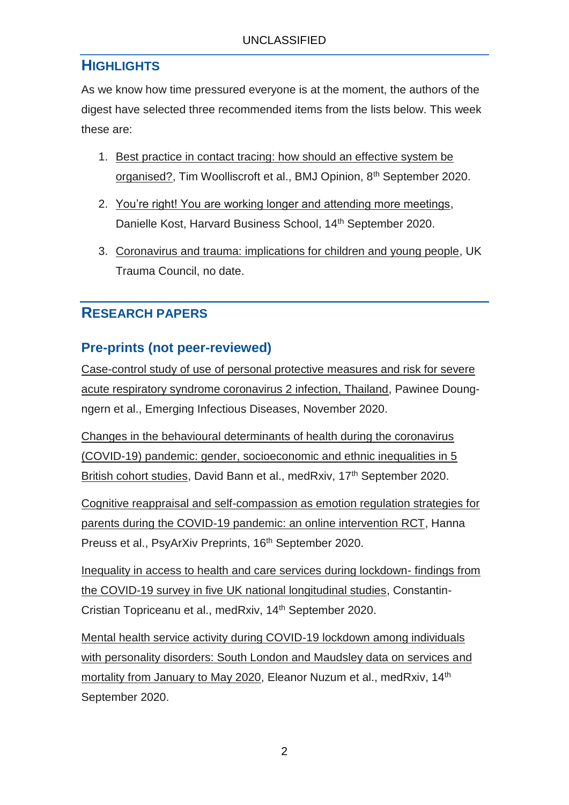## **HIGHLIGHTS**

As we know how time pressured everyone is at the moment, the authors of the digest have selected three recommended items from the lists below. This week these are:

- 1. Best [practice in contact tracing: how should an effective system be](https://blogs.bmj.com/bmj/2020/09/08/best-practice-in-contact-tracing-how-should-an-effective-system-be-organised/?utm_campaign=shareaholic&utm_medium=twitter&utm_source=socialnetwork)  [organised?,](https://blogs.bmj.com/bmj/2020/09/08/best-practice-in-contact-tracing-how-should-an-effective-system-be-organised/?utm_campaign=shareaholic&utm_medium=twitter&utm_source=socialnetwork) Tim Woolliscroft et al., BMJ Opinion, 8th September 2020.
- 2. [You're right! You are working longer and attending more meetings,](https://hbswk.hbs.edu/item/you-re-right-you-are-working-longer-and-attending-more-meetings?cid=spmailing-32533551-WK%20Newsletter%2009-16-2020%20(1)-September%2016,%202020) Danielle Kost, Harvard Business School, 14<sup>th</sup> September 2020.
- 3. [Coronavirus and trauma: implications for children and young people,](http://uktraumacouncil.org/resources/coronavirus-and-trauma) UK Trauma Council, no date.

## **RESEARCH PAPERS**

## <span id="page-1-0"></span>**Pre-prints (not peer-reviewed)**

Case-control study of use [of personal protective measures and risk for severe](https://wwwnc.cdc.gov/eid/article/26/11/20-3003_article)  [acute respiratory syndrome coronavirus 2 infection, Thailand,](https://wwwnc.cdc.gov/eid/article/26/11/20-3003_article) Pawinee Doungngern et al., Emerging Infectious Diseases, November 2020.

[Changes in the behavioural determinants of health during the coronavirus](https://www.medrxiv.org/content/10.1101/2020.07.29.20164244v2)  [\(COVID-19\) pandemic: gender, socioeconomic and ethnic inequalities in 5](https://www.medrxiv.org/content/10.1101/2020.07.29.20164244v2)  [British cohort studies,](https://www.medrxiv.org/content/10.1101/2020.07.29.20164244v2) David Bann et al., medRxiv, 17<sup>th</sup> September 2020.

[Cognitive reappraisal and self-compassion as emotion regulation strategies for](https://psyarxiv.com/7fue9/)  [parents during the COVID-19 pandemic: an online intervention RCT,](https://psyarxiv.com/7fue9/) Hanna Preuss et al., PsyArXiv Preprints, 16<sup>th</sup> September 2020.

[Inequality in access to health and care services during lockdown-](https://www.medrxiv.org/content/10.1101/2020.09.12.20191973v1) findings from [the COVID-19 survey in five UK national longitudinal studies,](https://www.medrxiv.org/content/10.1101/2020.09.12.20191973v1) Constantin-Cristian Topriceanu et al., medRxiv, 14th September 2020.

[Mental health service activity during COVID-19 lockdown among individuals](https://www.medrxiv.org/content/10.1101/2020.09.13.20193730v1)  [with personality disorders: South London and Maudsley data on services and](https://www.medrxiv.org/content/10.1101/2020.09.13.20193730v1)  [mortality from January to May 2020,](https://www.medrxiv.org/content/10.1101/2020.09.13.20193730v1) Eleanor Nuzum et al., medRxiv, 14th September 2020.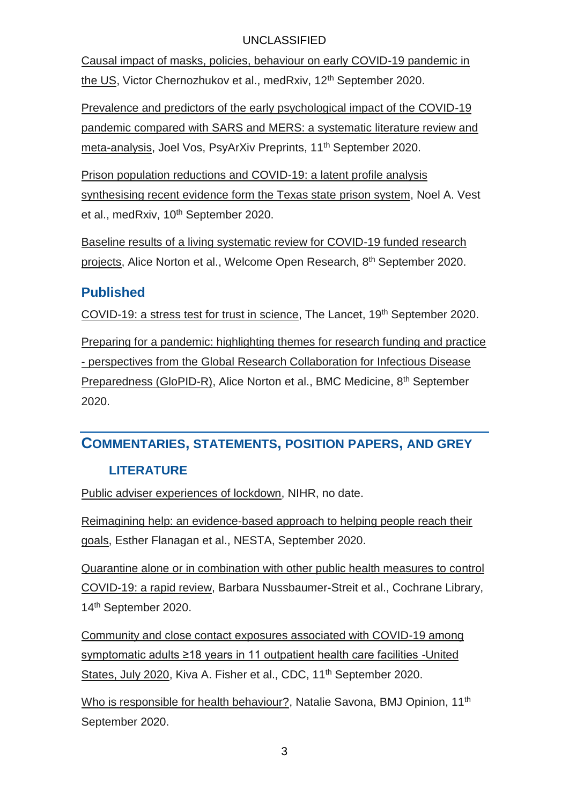[Causal impact of masks, policies, behaviour on early COVID-19 pandemic in](https://www.medrxiv.org/content/10.1101/2020.05.27.20115139v6)  [the US,](https://www.medrxiv.org/content/10.1101/2020.05.27.20115139v6) Victor Chernozhukov et al., medRxiv, 12<sup>th</sup> September 2020.

[Prevalence and predictors of the early psychological impact of the COVID-19](https://psyarxiv.com/mupk2/)  [pandemic compared with SARS and MERS: a systematic literature review and](https://psyarxiv.com/mupk2/)  [meta-analysis,](https://psyarxiv.com/mupk2/) Joel Vos, PsyArXiv Preprints, 11<sup>th</sup> September 2020.

[Prison population reductions and COVID-19: a latent profile analysis](https://www.medrxiv.org/content/10.1101/2020.09.08.20190884v1)  [synthesising recent evidence form the Texas state prison system,](https://www.medrxiv.org/content/10.1101/2020.09.08.20190884v1) Noel A. Vest et al., medRxiv, 10<sup>th</sup> September 2020.

[Baseline results of a living systematic review for COVID-19 funded research](https://wellcomeopenresearch.org/articles/5-209/v1)  [projects,](https://wellcomeopenresearch.org/articles/5-209/v1) Alice Norton et al., Welcome Open Research, 8<sup>th</sup> September 2020.

#### <span id="page-2-0"></span>**Published**

[COVID-19: a stress test for trust in science,](https://www.thelancet.com/journals/lancet/article/PIIS0140-6736(20)31954-1/fulltext?rss=yes) The Lancet, 19<sup>th</sup> September 2020.

[Preparing for a pandemic: highlighting themes for research funding and practice](https://link.springer.com/epdf/10.1186/s12916-020-01755-y?sharing_token=8u7ooTS4dLeg1DctQpSKFm_BpE1tBhCbnbw3BuzI2RMnfXvTMXT7o0tgIi6xSdHC8edMjUQEwAX9-K5L8w0RqLRzW6W8lx6uQdrGAxWkJdmPYLIZrJ0cjYbXfMFsI5GS3_z-9AlB5UgCE4tPsNP9A79i4HSbePGAaksvBJrL4BE%3D) - [perspectives from the Global Research Collaboration for Infectious Disease](https://link.springer.com/epdf/10.1186/s12916-020-01755-y?sharing_token=8u7ooTS4dLeg1DctQpSKFm_BpE1tBhCbnbw3BuzI2RMnfXvTMXT7o0tgIi6xSdHC8edMjUQEwAX9-K5L8w0RqLRzW6W8lx6uQdrGAxWkJdmPYLIZrJ0cjYbXfMFsI5GS3_z-9AlB5UgCE4tPsNP9A79i4HSbePGAaksvBJrL4BE%3D)  [Preparedness \(GloPID-R\),](https://link.springer.com/epdf/10.1186/s12916-020-01755-y?sharing_token=8u7ooTS4dLeg1DctQpSKFm_BpE1tBhCbnbw3BuzI2RMnfXvTMXT7o0tgIi6xSdHC8edMjUQEwAX9-K5L8w0RqLRzW6W8lx6uQdrGAxWkJdmPYLIZrJ0cjYbXfMFsI5GS3_z-9AlB5UgCE4tPsNP9A79i4HSbePGAaksvBJrL4BE%3D) Alice Norton et al., BMC Medicine, 8th September 2020.

### **COMMENTARIES, STATEMENTS, POSITION PAPERS, AND GREY**

#### **LITERATURE**

[Public adviser experiences of lockdown,](https://t.co/UxZuBFCzhu?amp=1) NIHR, no date.

[Reimagining help: an evidence-based approach to helping people reach their](https://media.nesta.org.uk/documents/Reimagining_Help_Guide_2020.pdf)  [goals,](https://media.nesta.org.uk/documents/Reimagining_Help_Guide_2020.pdf) Esther Flanagan et al., NESTA, September 2020.

[Quarantine alone or in combination with other public health measures to control](https://www.cochranelibrary.com/cdsr/doi/10.1002/14651858.CD013574.pub2/full)  [COVID-19: a rapid review,](https://www.cochranelibrary.com/cdsr/doi/10.1002/14651858.CD013574.pub2/full) Barbara Nussbaumer-Streit et al., Cochrane Library, 14th September 2020.

[Community and close contact exposures associated with COVID-19 among](https://www.cdc.gov/mmwr/volumes/69/wr/mm6936a5.htm?s_cid=mm6936a5_w)  [symptomatic adults ≥18 years in 11 outpatient health care facilities -United](https://www.cdc.gov/mmwr/volumes/69/wr/mm6936a5.htm?s_cid=mm6936a5_w)  [States, July 2020,](https://www.cdc.gov/mmwr/volumes/69/wr/mm6936a5.htm?s_cid=mm6936a5_w) Kiva A. Fisher et al., CDC, 11<sup>th</sup> September 2020.

[Who is responsible for health behaviour?,](https://blogs.bmj.com/bmj/2020/09/11/natalie-savona-who-is-responsible-for-health-behaviour/?utm_campaign=shareaholic&utm_medium=twitter&utm_source=socialnetwork) Natalie Savona, BMJ Opinion, 11<sup>th</sup> September 2020.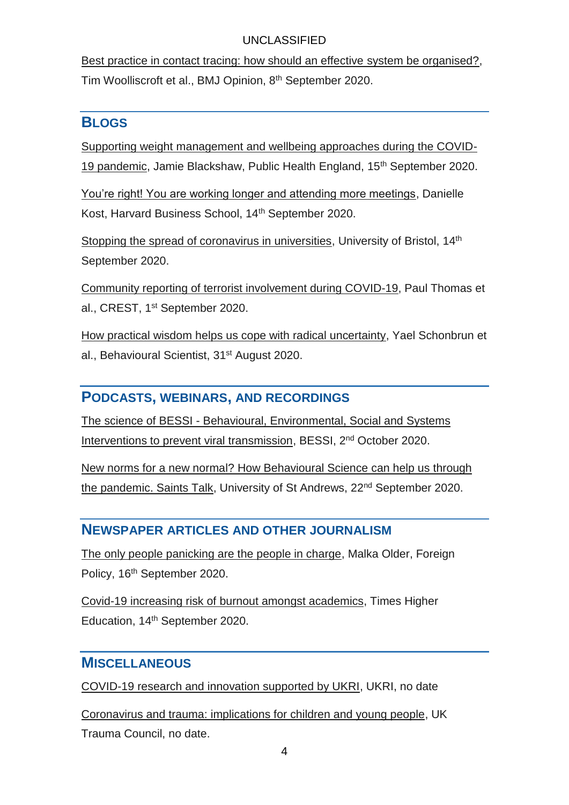[Best practice in contact tracing: how should an effective system be organised?,](https://blogs.bmj.com/bmj/2020/09/08/best-practice-in-contact-tracing-how-should-an-effective-system-be-organised/?utm_campaign=shareaholic&utm_medium=twitter&utm_source=socialnetwork) Tim Woolliscroft et al., BMJ Opinion, 8th September 2020.

### **BLOGS**

[Supporting weight management and wellbeing approaches during the COVID-](https://publichealthmatters.blog.gov.uk/2020/09/15/supporting-weight-management-and-wellbeing-approaches-during-the-covid-19-pandemic/)[19 pandemic,](https://publichealthmatters.blog.gov.uk/2020/09/15/supporting-weight-management-and-wellbeing-approaches-during-the-covid-19-pandemic/) Jamie Blackshaw, Public Health England, 15th September 2020.

[You're right! You are working longer and attending more meetings,](https://hbswk.hbs.edu/item/you-re-right-you-are-working-longer-and-attending-more-meetings?cid=spmailing-32533551-WK%20Newsletter%2009-16-2020%20(1)-September%2016,%202020) Danielle Kost, Harvard Business School, 14th September 2020.

[Stopping the spread of coronavirus in universities,](http://www.bristol.ac.uk/news/2020/september/covid-universities.html) University of Bristol, 14<sup>th</sup> September 2020.

[Community reporting of terrorist involvement during COVID-19,](https://crestresearch.ac.uk/comment/community-reporting-of-terrorist-involvement-during-covid-19?utm_source=CREST+Newsletter+%28Public%29&utm_campaign=a08a4456eb-EMAIL_CAMPAIGN_2020_04_28_08_25_COPY_01&utm_medium=email&utm_term=0_00377b1cb7-a08a4456eb-159448957) Paul Thomas et al., CREST, 1<sup>st</sup> September 2020.

[How practical wisdom helps us cope with radical uncertainty,](https://behavioralscientist.org/how-practical-wisdom-helps-us-cope-with-radical-uncertainty/) Yael Schonbrun et al., Behavioural Scientist, 31st August 2020.

#### **PODCASTS, WEBINARS, AND RECORDINGS**

The science of BESSI - [Behavioural, Environmental, Social and Systems](https://www.eventbrite.com.au/e/series-1-webinar-1-the-science-of-bessi-tickets-120127200691?ref=estw)  [Interventions to prevent viral transmission,](https://www.eventbrite.com.au/e/series-1-webinar-1-the-science-of-bessi-tickets-120127200691?ref=estw) BESSI, 2<sup>nd</sup> October 2020.

[New norms for a new normal? How Behavioural Science can help us through](https://events.st-andrews.ac.uk/events/new-norms-for-a-new-normal-how-behavioural-science-can-help-us-through-the-pandemic-saints-talk/)  [the pandemic. Saints Talk,](https://events.st-andrews.ac.uk/events/new-norms-for-a-new-normal-how-behavioural-science-can-help-us-through-the-pandemic-saints-talk/) University of St Andrews, 22<sup>nd</sup> September 2020.

### **NEWSPAPER ARTICLES AND OTHER JOURNALISM**

[The only people panicking are the people in charge,](https://foreignpolicy.com/2020/09/16/trump-woodward-elite-panic-coronavirus-pandemic/) Malka Older, Foreign Policy, 16<sup>th</sup> September 2020.

[Covid-19 increasing risk of burnout amongst academics,](https://www.timeshighereducation.com/news/covid-19-increasing-risk-burnout-amongst-academics) Times Higher Education, 14th September 2020.

### **MISCELLANEOUS**

[COVID-19 research and innovation supported by UKRI,](https://www.ukri.org/research/coronavirus/covid-19-research-and-innovation-supported-by-ukri/?utm_source=Twitter&utm_medium=social&utm_campaign=SocialSignIn) UKRI, no date

[Coronavirus and trauma: implications for children and young people,](http://uktraumacouncil.org/resources/coronavirus-and-trauma) UK Trauma Council, no date.